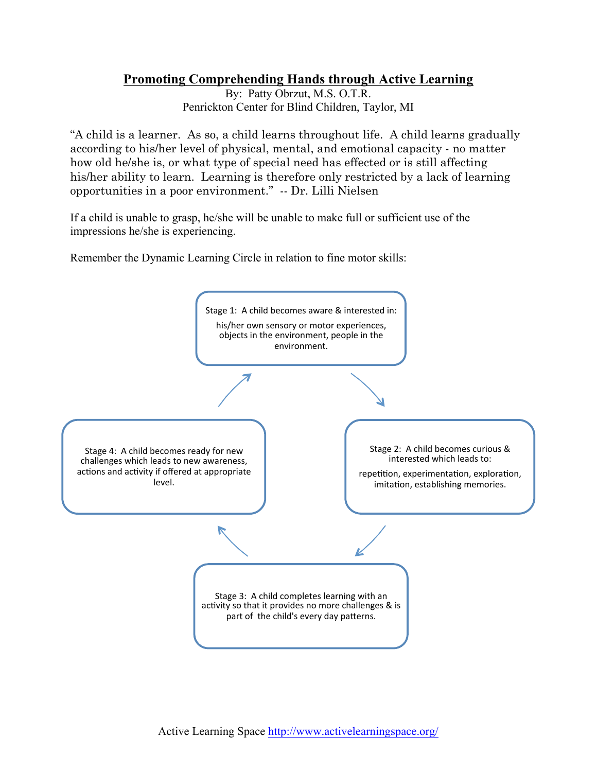## **Promoting Comprehending Hands through Active Learning**

By: Patty Obrzut, M.S. O.T.R. Penrickton Center for Blind Children, Taylor, MI

"A child is a learner. As so, a child learns throughout life. A child learns gradually according to his/her level of physical, mental, and emotional capacity - no matter how old he/she is, or what type of special need has effected or is still affecting his/her ability to learn. Learning is therefore only restricted by a lack of learning opportunities in a poor environment." -- Dr. Lilli Nielsen

If a child is unable to grasp, he/she will be unable to make full or sufficient use of the impressions he/she is experiencing.

Remember the Dynamic Learning Circle in relation to fine motor skills: